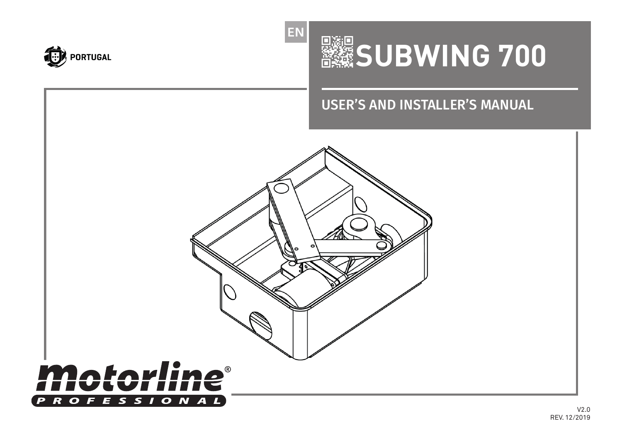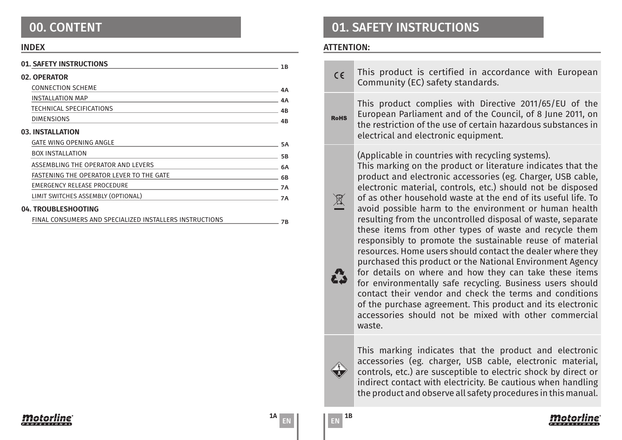### INDEX

| 01. SAFETY INSTRUCTIONS                                                                                                                          | 1B        |
|--------------------------------------------------------------------------------------------------------------------------------------------------|-----------|
| 02. OPERATOR                                                                                                                                     |           |
| <b>CONNECTION SCHEME</b>                                                                                                                         | 4Α        |
| <b>INSTALLATION MAP</b><br><u> 1989 - Johann Stein, mars an de Brasilia (b. 1989)</u>                                                            | 4A        |
| TECHNICAL SPECIFICATIONS<br><u> 1989 - Johann Stein, mars an deutscher Stein und der Stein und der Stein und der Stein und der Stein und der</u> | 4B        |
| <b>DIMENSIONS</b>                                                                                                                                | 4B        |
| 03. INSTALLATION                                                                                                                                 |           |
| <b>GATE WING OPENING ANGLE</b>                                                                                                                   | <b>5A</b> |
| <b>BOX INSTALLATION</b>                                                                                                                          | <b>5B</b> |
| ASSEMBLING THE OPERATOR AND LEVERS                                                                                                               | 6A        |
| FASTENING THE OPERATOR LEVER TO THE GATE<br><u> 1989 - Johann Barn, fransk politik amerikansk politik (</u>                                      | 6B        |
| EMERGENCY RELEASE PROCEDURE                                                                                                                      | <b>7A</b> |
| LIMIT SWITCHES ASSEMBLY (OPTIONAL)                                                                                                               | <b>7A</b> |
| 04. TROUBLESHOOTING                                                                                                                              |           |
| FINAL CONSUMERS AND SPECIALIZED INSTALLERS INSTRUCTIONS                                                                                          | 7В        |

## 00. CONTENT 01. SAFETY INSTRUCTIONS

### ATTENTION:

 $\sum_{i=1}^{n}$ 

石立

This product is certified in accordance with European  $C \in$ Community (EC) safety standards.

This product complies with Directive 2011/65/EU of the European Parliament and of the Council, of 8 June 2011, on **RoHS** the restriction of the use of certain hazardous substances in electrical and electronic equipment.

(Applicable in countries with recycling systems).

This marking on the product or literature indicates that the product and electronic accessories (eg. Charger, USB cable, electronic material, controls, etc.) should not be disposed of as other household waste at the end of its useful life. To avoid possible harm to the environment or human health resulting from the uncontrolled disposal of waste, separate these items from other types of waste and recycle them responsibly to promote the sustainable reuse of material resources. Home users should contact the dealer where they purchased this product or the National Environment Agency for details on where and how they can take these items for environmentally safe recycling. Business users should contact their vendor and check the terms and conditions of the purchase agreement. This product and its electronic accessories should not be mixed with other commercial waste.

This marking indicates that the product and electronic accessories (eg. charger, USB cable, electronic material, controls, etc.) are susceptible to electric shock by direct or indirect contact with electricity. Be cautious when handling the product and observe all safety procedures in this manual.



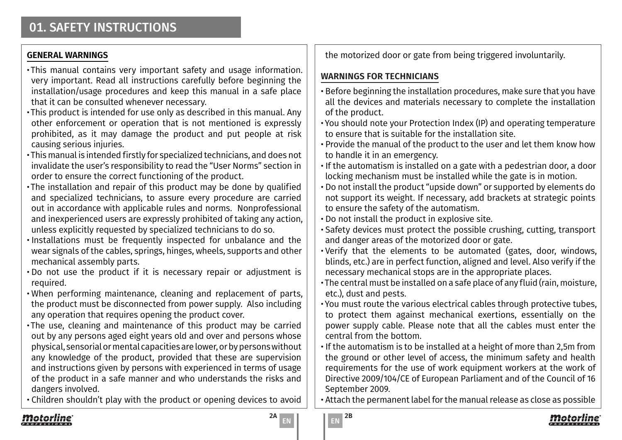## **GENERAL WARNINGS**

- •This manual contains very important safety and usage information. very important. Read all instructions carefully before beginning the installation/usage procedures and keep this manual in a safe place that it can be consulted whenever necessary.
- •This product is intended for use only as described in this manual. Any other enforcement or operation that is not mentioned is expressly prohibited, as it may damage the product and put people at risk causing serious injuries.
- •This manual is intended firstly for specialized technicians, and does not invalidate the user's responsibility to read the "User Norms" section in order to ensure the correct functioning of the product.
- •The installation and repair of this product may be done by qualified and specialized technicians, to assure every procedure are carried out in accordance with applicable rules and norms. Nonprofessional and inexperienced users are expressly prohibited of taking any action, unless explicitly requested by specialized technicians to do so.
- Installations must be frequently inspected for unbalance and the wear signals of the cables, springs, hinges, wheels, supports and other mechanical assembly parts.
- Do not use the product if it is necessary repair or adjustment is required.
- When performing maintenance, cleaning and replacement of parts, the product must be disconnected from power supply. Also including any operation that requires opening the product cover.
- •The use, cleaning and maintenance of this product may be carried out by any persons aged eight years old and over and persons whose physical, sensorial or mental capacities are lower, or by persons without any knowledge of the product, provided that these are supervision and instructions given by persons with experienced in terms of usage of the product in a safe manner and who understands the risks and dangers involved.
- Children shouldn't play with the product or opening devices to avoid

## **WARNINGS FOR TECHNICIANS**

- Before beginning the installation procedures, make sure that you have all the devices and materials necessary to complete the installation of the product.
- You should note your Protection Index (IP) and operating temperature to ensure that is suitable for the installation site.
- Provide the manual of the product to the user and let them know how to handle it in an emergency.
- If the automatism is installed on a gate with a pedestrian door, a door locking mechanism must be installed while the gate is in motion.
- Do not install the product "upside down" or supported by elements do not support its weight. If necessary, add brackets at strategic points to ensure the safety of the automatism.
- Do not install the product in explosive site.
- Safety devices must protect the possible crushing, cutting, transport and danger areas of the motorized door or gate.
- Verify that the elements to be automated (gates, door, windows, blinds, etc.) are in perfect function, aligned and level. Also verify if the necessary mechanical stops are in the appropriate places.
- •The central must be installed on a safe place of any fluid (rain, moisture, etc.), dust and pests.
- You must route the various electrical cables through protective tubes, to protect them against mechanical exertions, essentially on the power supply cable. Please note that all the cables must enter the central from the bottom.
- If the automatism is to be installed at a height of more than 2,5m from the ground or other level of access, the minimum safety and health requirements for the use of work equipment workers at the work of Directive 2009/104/CE of European Parliament and of the Council of 16 September 2009.

• Attach the permanent label for the manual release as close as possible



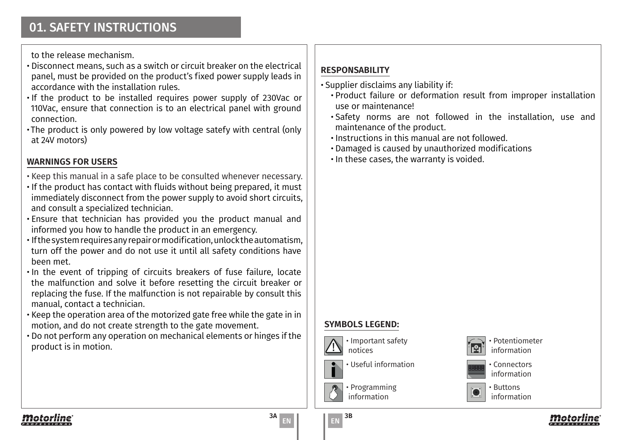to the release mechanism.

- Disconnect means, such as a switch or circuit breaker on the electrical panel, must be provided on the product's fixed power supply leads in accordance with the installation rules.
- If the product to be installed requires power supply of 230Vac or 110Vac, ensure that connection is to an electrical panel with ground connection.
- •The product is only powered by low voltage satefy with central (only at 24V motors)

## **WARNINGS FOR USERS**

- Keep this manual in a safe place to be consulted whenever necessary.
- If the product has contact with fluids without being prepared, it must immediately disconnect from the power supply to avoid short circuits, and consult a specialized technician.
- Ensure that technician has provided you the product manual and informed you how to handle the product in an emergency.
- If the system requires any repair or modification, unlock the automatism, turn off the power and do not use it until all safety conditions have been met.
- In the event of tripping of circuits breakers of fuse failure, locate the malfunction and solve it before resetting the circuit breaker or replacing the fuse. If the malfunction is not repairable by consult this manual, contact a technician.
- Keep the operation area of the motorized gate free while the gate in in motion, and do not create strength to the gate movement.
- Do not perform any operation on mechanical elements or hinges if the product is in motion.

## **RESPONSABILITY**

- Supplier disclaims any liability if:
	- Product failure or deformation result from improper installation use or maintenance!
	- Safety norms are not followed in the installation, use and maintenance of the product.
	- Instructions in this manual are not followed.
	- Damaged is caused by unauthorized modifications
	- In these cases, the warranty is voided.

## **SYMBOLS LEGEND:**



• Important safety notices

• Programming information







• Buttons



EN EN

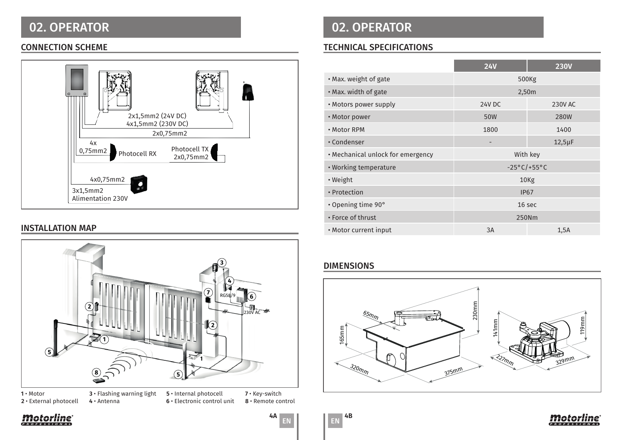



**2** • External photocell

**6** • Electronic control unit

**8** • Remote control

## 02. OPERATOR 02. OPERATOR

## CONNECTION SCHEME TECHNICAL SPECIFICATIONS

| VE AV S<br>vi Fi<br>诹<br>₫<br>∰<br>$\Box$<br>$\bullet$<br>2x1,5mm2 (24V DC)<br>4x1,5mm2 (230V DC)<br>2x0,75mm2<br>4x<br>Photocell TX<br>0,75mm2<br>Photocell RX<br>2x0,75mm2 |                                   | <b>24V</b>               | <b>230V</b>  |
|------------------------------------------------------------------------------------------------------------------------------------------------------------------------------|-----------------------------------|--------------------------|--------------|
|                                                                                                                                                                              | . Max. weight of gate             | 500Kg                    |              |
|                                                                                                                                                                              | . Max. width of gate              | 2,50m                    |              |
|                                                                                                                                                                              | • Motors power supply             | 24V DC                   | 230V AC      |
|                                                                                                                                                                              | • Motor power                     | 50W                      | <b>280W</b>  |
|                                                                                                                                                                              | • Motor RPM                       | 1800                     | 1400         |
|                                                                                                                                                                              | • Condenser                       | $\overline{\phantom{a}}$ | $12,5 \mu F$ |
|                                                                                                                                                                              | • Mechanical unlock for emergency | With key                 |              |
|                                                                                                                                                                              | • Working temperature             | $-25^{\circ}$ C/+55°C    |              |
| 4x0,75mm2                                                                                                                                                                    | • Weight                          | 10Kg                     |              |
| 3x1,5mm2                                                                                                                                                                     | • Protection                      | <b>IP67</b>              |              |
| Alimentation 230V                                                                                                                                                            | • Opening time 90°                | 16 sec                   |              |
|                                                                                                                                                                              | • Force of thrust                 | 250Nm                    |              |
| <b>INSTALLATION MAP</b>                                                                                                                                                      | • Motor current input             | 3A                       | 1,5A         |

## DIMENSIONS







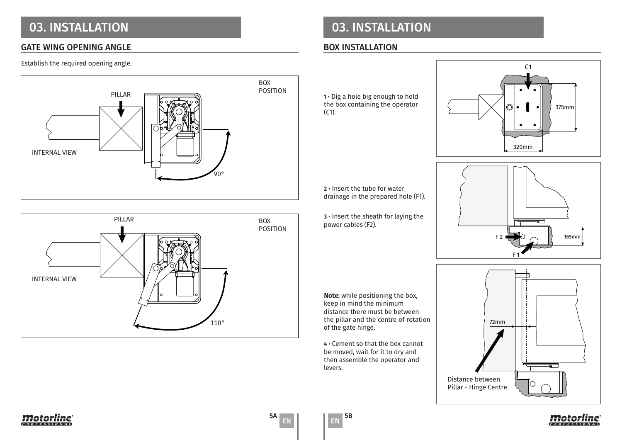# 03. INSTALLATION

### GATE WING OPENING ANGLE

### Establish the required opening angle.





## 03. INSTALLATION

### BOX INSTALLATION

**1** • Dig a hole big enough to hold the box containing the operator (C1).



**2** • Insert the tube for water drainage in the prepared hole (F1).

**3** • Insert the sheath for laying the power cables (F2).

**Note:** while positioning the box, keep in mind the minimum distance there must be between the pillar and the centre of rotation of the gate hinge.

**4** • Cement so that the box cannot be moved, wait for it to dry and then assemble the operator and levers.









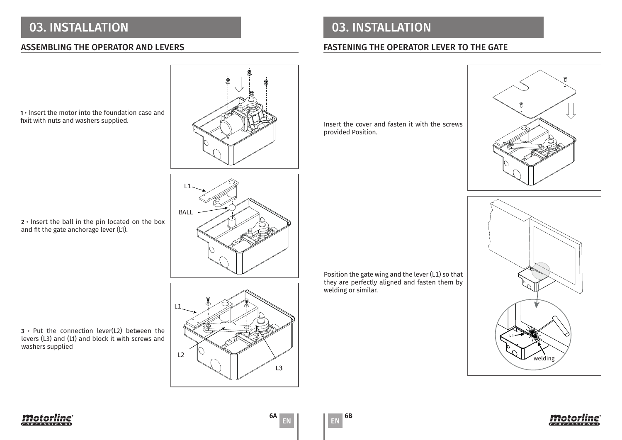# 03. INSTALLATION 03. INSTALLATION

## ASSEMBLING THE OPERATOR AND LEVERS FASTENING THE OPERATOR LEVER TO THE GATE

Insert the cover and fasten it with the screws provided Position.







Position the gate wing and the lever (L1) so that they are perfectly aligned and fasten them by welding or similar.





**2** • Insert the ball in the pin located on the box and fit the gate anchorage lever (L1).

1 • Insert the motor into the foundation case and fixit with nuts and washers supplied.

**3** • Put the connection lever(L2) between the levers (L3) and (L1) and block it with screws and washers supplied